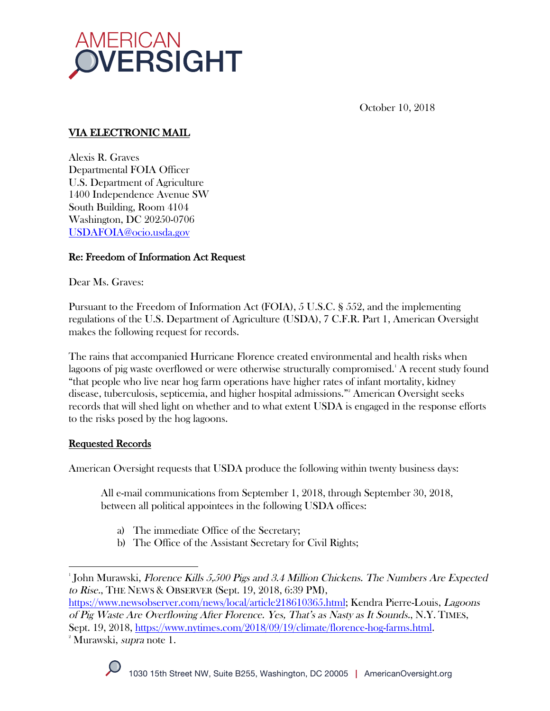

October 10, 2018

# VIA ELECTRONIC MAIL

Alexis R. Graves Departmental FOIA Officer U.S. Department of Agriculture 1400 Independence Avenue SW South Building, Room 4104 Washington, DC 20250-0706 USDAFOIA@ocio.usda.gov

# Re: Freedom of Information Act Request

Dear Ms. Graves:

Pursuant to the Freedom of Information Act (FOIA), 5 U.S.C. § 552, and the implementing regulations of the U.S. Department of Agriculture (USDA), 7 C.F.R. Part 1, American Oversight makes the following request for records.

The rains that accompanied Hurricane Florence created environmental and health risks when lagoons of pig waste overflowed or were otherwise structurally compromised.' A recent study found "that people who live near hog farm operations have higher rates of infant mortality, kidney disease, tuberculosis, septicemia, and higher hospital admissions."2 American Oversight seeks records that will shed light on whether and to what extent USDA is engaged in the response efforts to the risks posed by the hog lagoons.

# Requested Records

American Oversight requests that USDA produce the following within twenty business days:

All e-mail communications from September 1, 2018, through September 30, 2018, between all political appointees in the following USDA offices:

- a) The immediate Office of the Secretary;
- b) The Office of the Assistant Secretary for Civil Rights;

 



 $^{\circ}$ John Murawski, *Florence Kills 5,500 Pigs and 3.4 Million Chickens. The Numbers Are Expected* to Rise., THE NEWS & OBSERVER (Sept. 19, 2018, 6:39 PM),

https://www.newsobserver.com/news/local/article218610365.html; Kendra Pierre-Louis, Lagoons of Pig Waste Are Overflowing After Florence. Yes, That's as Nasty as It Sounds., N.Y. TIMES, Sept. 19, 2018, https://www.nytimes.com/2018/09/19/climate/florence-hog-farms.html. 2

<sup>&</sup>lt;sup>2</sup> Murawski, *supra* note 1.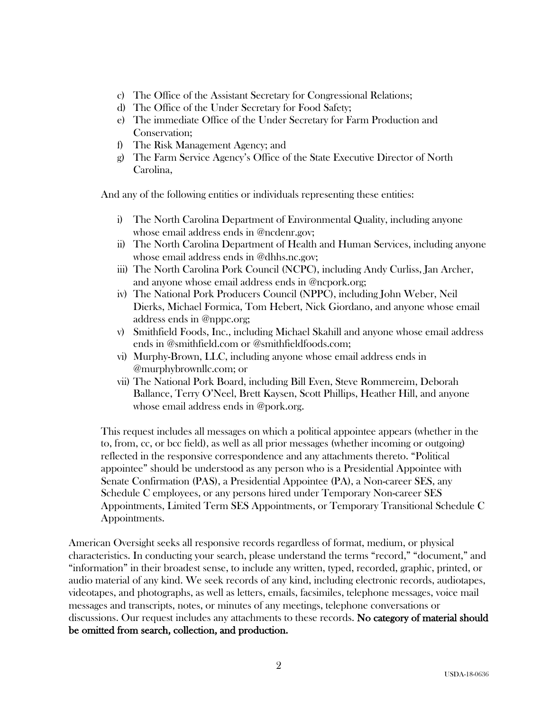- c) The Office of the Assistant Secretary for Congressional Relations;
- d) The Office of the Under Secretary for Food Safety;
- e) The immediate Office of the Under Secretary for Farm Production and Conservation;
- f) The Risk Management Agency; and
- g) The Farm Service Agency's Office of the State Executive Director of North Carolina,

And any of the following entities or individuals representing these entities:

- i) The North Carolina Department of Environmental Quality, including anyone whose email address ends in @ncdenr.gov;
- ii) The North Carolina Department of Health and Human Services, including anyone whose email address ends in @dhhs.nc.gov;
- iii) The North Carolina Pork Council (NCPC), including Andy Curliss, Jan Archer, and anyone whose email address ends in @ncpork.org;
- iv) The National Pork Producers Council (NPPC), including John Weber, Neil Dierks, Michael Formica, Tom Hebert, Nick Giordano, and anyone whose email address ends in @nppc.org;
- v) Smithfield Foods, Inc., including Michael Skahill and anyone whose email address ends in @smithfield.com or @smithfieldfoods.com;
- vi) Murphy-Brown, LLC, including anyone whose email address ends in @murphybrownllc.com; or
- vii) The National Pork Board, including Bill Even, Steve Rommereim, Deborah Ballance, Terry O'Neel, Brett Kaysen, Scott Phillips, Heather Hill, and anyone whose email address ends in @pork.org.

This request includes all messages on which a political appointee appears (whether in the to, from, cc, or bcc field), as well as all prior messages (whether incoming or outgoing) reflected in the responsive correspondence and any attachments thereto. "Political appointee" should be understood as any person who is a Presidential Appointee with Senate Confirmation (PAS), a Presidential Appointee (PA), a Non-career SES, any Schedule C employees, or any persons hired under Temporary Non-career SES Appointments, Limited Term SES Appointments, or Temporary Transitional Schedule C Appointments.

American Oversight seeks all responsive records regardless of format, medium, or physical characteristics. In conducting your search, please understand the terms "record," "document," and "information" in their broadest sense, to include any written, typed, recorded, graphic, printed, or audio material of any kind. We seek records of any kind, including electronic records, audiotapes, videotapes, and photographs, as well as letters, emails, facsimiles, telephone messages, voice mail messages and transcripts, notes, or minutes of any meetings, telephone conversations or discussions. Our request includes any attachments to these records. No category of material should be omitted from search, collection, and production.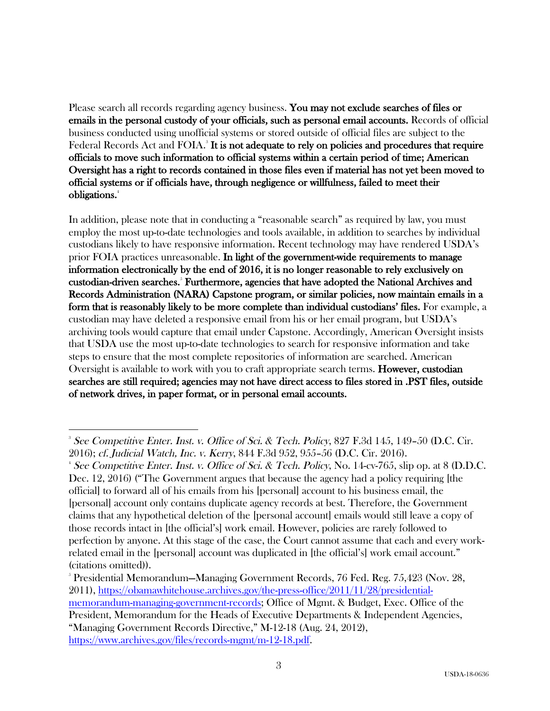Please search all records regarding agency business. You may not exclude searches of files or emails in the personal custody of your officials, such as personal email accounts. Records of official business conducted using unofficial systems or stored outside of official files are subject to the Federal Records Act and FOIA.<sup>3</sup> It is not adequate to rely on policies and procedures that require officials to move such information to official systems within a certain period of time; American Oversight has a right to records contained in those files even if material has not yet been moved to official systems or if officials have, through negligence or willfulness, failed to meet their obligations.4

In addition, please note that in conducting a "reasonable search" as required by law, you must employ the most up-to-date technologies and tools available, in addition to searches by individual custodians likely to have responsive information. Recent technology may have rendered USDA's prior FOIA practices unreasonable. In light of the government-wide requirements to manage information electronically by the end of 2016, it is no longer reasonable to rely exclusively on custodian-driven searches.<sup>5</sup> Furthermore, agencies that have adopted the National Archives and Records Administration (NARA) Capstone program, or similar policies, now maintain emails in a form that is reasonably likely to be more complete than individual custodians' files. For example, a custodian may have deleted a responsive email from his or her email program, but USDA's archiving tools would capture that email under Capstone. Accordingly, American Oversight insists that USDA use the most up-to-date technologies to search for responsive information and take steps to ensure that the most complete repositories of information are searched. American Oversight is available to work with you to craft appropriate search terms. **However, custodian** searches are still required; agencies may not have direct access to files stored in .PST files, outside of network drives, in paper format, or in personal email accounts.

 

5 Presidential Memorandum—Managing Government Records, 76 Fed. Reg. 75,423 (Nov. 28, 2011), https://obamawhitehouse.archives.gov/the-press-office/2011/11/28/presidentialmemorandum-managing-government-records; Office of Mgmt. & Budget, Exec. Office of the President, Memorandum for the Heads of Executive Departments & Independent Agencies, "Managing Government Records Directive," M-12-18 (Aug. 24, 2012), https://www.archives.gov/files/records-mgmt/m-12-18.pdf.

<sup>3</sup> See Competitive Enter. Inst. v. Office of Sci. & Tech. Policy, 827 F.3d 145, 149–50 (D.C. Cir. 2016); cf. Judicial Watch, Inc. v. Kerry, 844 F.3d 952, 955–56 (D.C. Cir. 2016). 4

<sup>&</sup>lt;sup>4</sup> See Competitive Enter. Inst. v. Office of Sci. & Tech. Policy, No. 14-cv-765, slip op. at 8 (D.D.C. Dec. 12, 2016) ("The Government argues that because the agency had a policy requiring [the official] to forward all of his emails from his [personal] account to his business email, the [personal] account only contains duplicate agency records at best. Therefore, the Government claims that any hypothetical deletion of the [personal account] emails would still leave a copy of those records intact in [the official's] work email. However, policies are rarely followed to perfection by anyone. At this stage of the case, the Court cannot assume that each and every workrelated email in the [personal] account was duplicated in [the official's] work email account." (citations omitted)).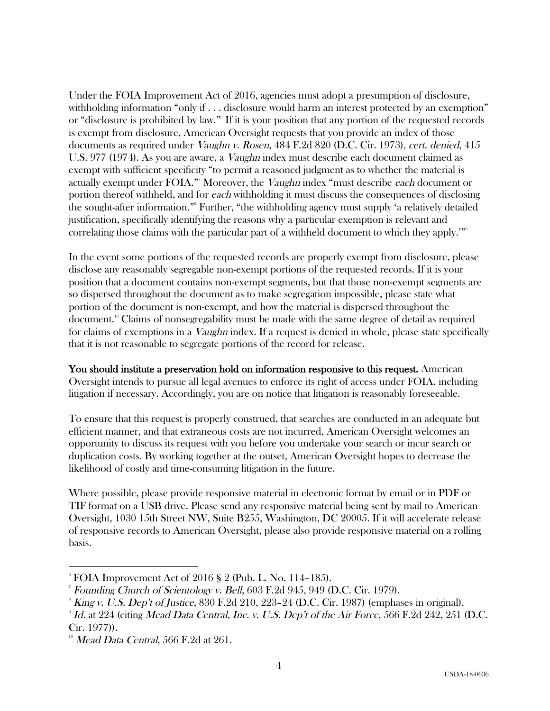Under the FOIA Improvement Act of 2016, agencies must adopt a presumption of disclosure, withholding information "only if . . . disclosure would harm an interest protected by an exemption" or "disclosure is prohibited by law."6 If it is your position that any portion of the requested records is exempt from disclosure, American Oversight requests that you provide an index of those documents as required under Vaughn v. Rosen, 484 F.2d 820 (D.C. Cir. 1973), cert. denied, 415 U.S. 977 (1974). As you are aware, a Vaughn index must describe each document claimed as exempt with sufficient specificity "to permit a reasoned judgment as to whether the material is actually exempt under FOIA."<sup>7</sup> Moreover, the *Vaughn* index "must describe *each* document or portion thereof withheld, and for each withholding it must discuss the consequences of disclosing the sought-after information."8 Further, "the withholding agency must supply 'a relatively detailed justification, specifically identifying the reasons why a particular exemption is relevant and correlating those claims with the particular part of a withheld document to which they apply.'"<sup>9</sup>

In the event some portions of the requested records are properly exempt from disclosure, please disclose any reasonably segregable non-exempt portions of the requested records. If it is your position that a document contains non-exempt segments, but that those non-exempt segments are so dispersed throughout the document as to make segregation impossible, please state what portion of the document is non-exempt, and how the material is dispersed throughout the document.10 Claims of nonsegregability must be made with the same degree of detail as required for claims of exemptions in a *Vaughn* index. If a request is denied in whole, please state specifically that it is not reasonable to segregate portions of the record for release.

You should institute a preservation hold on information responsive to this request. American Oversight intends to pursue all legal avenues to enforce its right of access under FOIA, including litigation if necessary. Accordingly, you are on notice that litigation is reasonably foreseeable.

To ensure that this request is properly construed, that searches are conducted in an adequate but efficient manner, and that extraneous costs are not incurred, American Oversight welcomes an opportunity to discuss its request with you before you undertake your search or incur search or duplication costs. By working together at the outset, American Oversight hopes to decrease the likelihood of costly and time-consuming litigation in the future.

Where possible, please provide responsive material in electronic format by email or in PDF or TIF format on a USB drive. Please send any responsive material being sent by mail to American Oversight, 1030 15th Street NW, Suite B255, Washington, DC 20005. If it will accelerate release of responsive records to American Oversight, please also provide responsive material on a rolling basis.

 

 $^{\circ}$  FOIA Improvement Act of 2016 § 2 (Pub. L. No. 114–185).

<sup>7</sup> Founding Church of Scientology v. Bell, 603 F.2d 945, 949 (D.C. Cir. 1979).

 $\delta$  King v. U.S. Dep't of Justice, 830 F.2d 210, 223–24 (D.C. Cir. 1987) (emphases in original).

 $^{\circ}$  Id. at 224 (citing Mead Data Central, Inc. v. U.S. Dep't of the Air Force, 566 F.2d 242, 251 (D.C. Cir. 1977)).

 $10$  Mead Data Central, 566 F.2d at 261.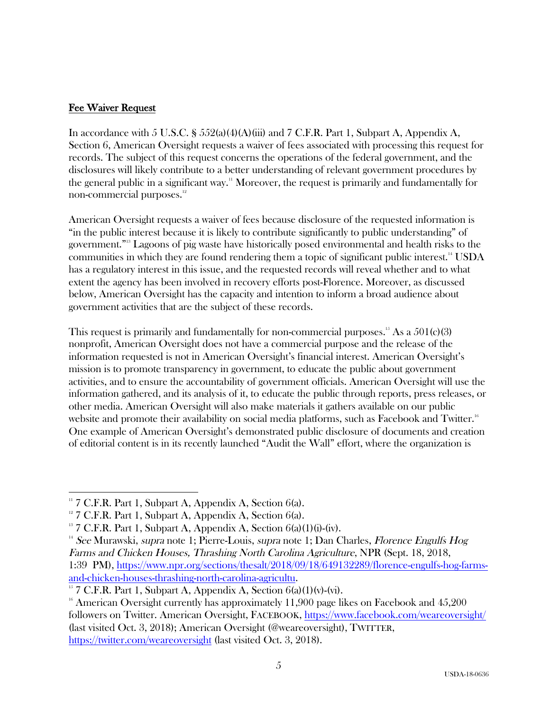# Fee Waiver Request

In accordance with 5 U.S.C. § 552(a)(4)(A)(iii) and 7 C.F.R. Part 1, Subpart A, Appendix A, Section 6, American Oversight requests a waiver of fees associated with processing this request for records. The subject of this request concerns the operations of the federal government, and the disclosures will likely contribute to a better understanding of relevant government procedures by the general public in a significant way.<sup>11</sup> Moreover, the request is primarily and fundamentally for non-commercial purposes.<sup>12</sup>

American Oversight requests a waiver of fees because disclosure of the requested information is "in the public interest because it is likely to contribute significantly to public understanding" of government."13 Lagoons of pig waste have historically posed environmental and health risks to the communities in which they are found rendering them a topic of significant public interest.<sup>14</sup> USDA has a regulatory interest in this issue, and the requested records will reveal whether and to what extent the agency has been involved in recovery efforts post-Florence. Moreover, as discussed below, American Oversight has the capacity and intention to inform a broad audience about government activities that are the subject of these records.

This request is primarily and fundamentally for non-commercial purposes.<sup>15</sup> As a  $501(c)(3)$ nonprofit, American Oversight does not have a commercial purpose and the release of the information requested is not in American Oversight's financial interest. American Oversight's mission is to promote transparency in government, to educate the public about government activities, and to ensure the accountability of government officials. American Oversight will use the information gathered, and its analysis of it, to educate the public through reports, press releases, or other media. American Oversight will also make materials it gathers available on our public website and promote their availability on social media platforms, such as Facebook and Twitter.<sup>16</sup> One example of American Oversight's demonstrated public disclosure of documents and creation of editorial content is in its recently launched "Audit the Wall" effort, where the organization is

 

 $11$  7 C.F.R. Part 1, Subpart A, Appendix A, Section 6(a).

 $12$  7 C.F.R. Part 1, Subpart A, Appendix A, Section 6(a).

 $13$  7 C.F.R. Part 1, Subpart A, Appendix A, Section  $6(a)(1)(i)-(iv)$ .

<sup>&</sup>lt;sup>14</sup> See Murawski, *supra* note 1; Pierre-Louis, *supra* note 1; Dan Charles, *Florence Engulfs Hog* Farms and Chicken Houses, Thrashing North Carolina Agriculture, NPR (Sept. 18, 2018, 1:39 PM), https://www.npr.org/sections/thesalt/2018/09/18/649132289/florence-engulfs-hog-farmsand-chicken-houses-thrashing-north-carolina-agricultu.<br><sup>15</sup> 7 C.F.R. Part 1, Subpart A, Appendix A, Section 6(a)(1)(v)-(vi).

 $16$  American Oversight currently has approximately 11,900 page likes on Facebook and  $45,200$ followers on Twitter. American Oversight, FACEBOOK, https://www.facebook.com/weareoversight/ (last visited Oct. 3, 2018); American Oversight (@weareoversight), TWITTER, https://twitter.com/weareoversight (last visited Oct. 3, 2018).